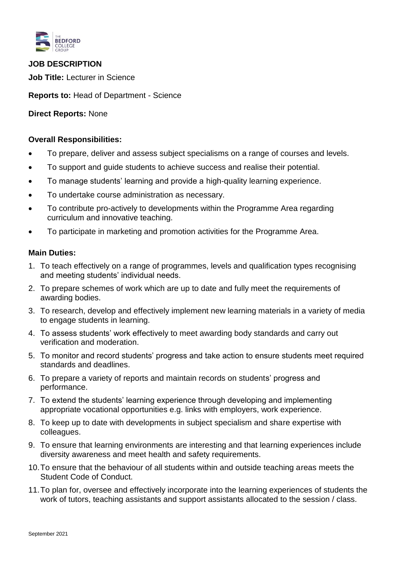

# **JOB DESCRIPTION**

**Job Title:** Lecturer in Science

**Reports to:** Head of Department - Science

## **Direct Reports:** None

## **Overall Responsibilities:**

- To prepare, deliver and assess subject specialisms on a range of courses and levels.
- To support and guide students to achieve success and realise their potential.
- To manage students' learning and provide a high-quality learning experience.
- To undertake course administration as necessary.
- To contribute pro-actively to developments within the Programme Area regarding curriculum and innovative teaching.
- To participate in marketing and promotion activities for the Programme Area.

## **Main Duties:**

- 1. To teach effectively on a range of programmes, levels and qualification types recognising and meeting students' individual needs.
- 2. To prepare schemes of work which are up to date and fully meet the requirements of awarding bodies.
- 3. To research, develop and effectively implement new learning materials in a variety of media to engage students in learning.
- 4. To assess students' work effectively to meet awarding body standards and carry out verification and moderation.
- 5. To monitor and record students' progress and take action to ensure students meet required standards and deadlines.
- 6. To prepare a variety of reports and maintain records on students' progress and performance.
- 7. To extend the students' learning experience through developing and implementing appropriate vocational opportunities e.g. links with employers, work experience.
- 8. To keep up to date with developments in subject specialism and share expertise with colleagues.
- 9. To ensure that learning environments are interesting and that learning experiences include diversity awareness and meet health and safety requirements.
- 10.To ensure that the behaviour of all students within and outside teaching areas meets the Student Code of Conduct.
- 11.To plan for, oversee and effectively incorporate into the learning experiences of students the work of tutors, teaching assistants and support assistants allocated to the session / class.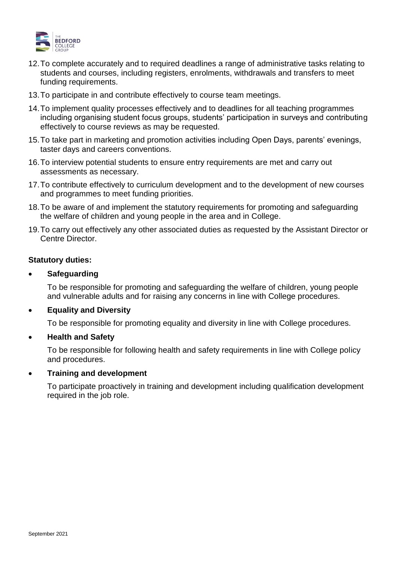

- 12.To complete accurately and to required deadlines a range of administrative tasks relating to students and courses, including registers, enrolments, withdrawals and transfers to meet funding requirements.
- 13.To participate in and contribute effectively to course team meetings.
- 14.To implement quality processes effectively and to deadlines for all teaching programmes including organising student focus groups, students' participation in surveys and contributing effectively to course reviews as may be requested.
- 15.To take part in marketing and promotion activities including Open Days, parents' evenings, taster days and careers conventions.
- 16.To interview potential students to ensure entry requirements are met and carry out assessments as necessary.
- 17.To contribute effectively to curriculum development and to the development of new courses and programmes to meet funding priorities.
- 18.To be aware of and implement the statutory requirements for promoting and safeguarding the welfare of children and young people in the area and in College.
- 19.To carry out effectively any other associated duties as requested by the Assistant Director or Centre Director.

#### **Statutory duties:**

## • **Safeguarding**

To be responsible for promoting and safeguarding the welfare of children, young people and vulnerable adults and for raising any concerns in line with College procedures.

## • **Equality and Diversity**

To be responsible for promoting equality and diversity in line with College procedures.

#### • **Health and Safety**

To be responsible for following health and safety requirements in line with College policy and procedures.

#### • **Training and development**

To participate proactively in training and development including qualification development required in the job role.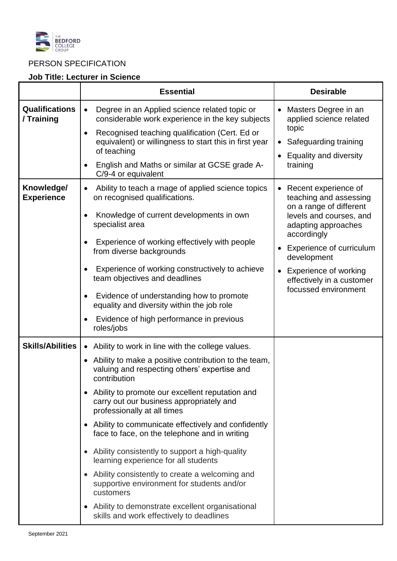

# PERSON SPECIFICATION

## **Job Title: Lecturer in Science**

|                                     | <b>Essential</b>                                                                                                                                                                                                                                                                                                                                                                                                                                                        | <b>Desirable</b>                                                                                                                                                                                                                                                                               |
|-------------------------------------|-------------------------------------------------------------------------------------------------------------------------------------------------------------------------------------------------------------------------------------------------------------------------------------------------------------------------------------------------------------------------------------------------------------------------------------------------------------------------|------------------------------------------------------------------------------------------------------------------------------------------------------------------------------------------------------------------------------------------------------------------------------------------------|
| <b>Qualifications</b><br>/ Training | Degree in an Applied science related topic or<br>considerable work experience in the key subjects<br>Recognised teaching qualification (Cert. Ed or<br>$\bullet$<br>equivalent) or willingness to start this in first year<br>of teaching                                                                                                                                                                                                                               | Masters Degree in an<br>$\bullet$<br>applied science related<br>topic<br>Safeguarding training<br>$\bullet$<br><b>Equality and diversity</b><br>$\bullet$<br>training                                                                                                                          |
|                                     | English and Maths or similar at GCSE grade A-<br>C/9-4 or equivalent                                                                                                                                                                                                                                                                                                                                                                                                    |                                                                                                                                                                                                                                                                                                |
| Knowledge/<br><b>Experience</b>     | Ability to teach a rnage of applied science topics<br>on recognised qualifications.<br>Knowledge of current developments in own<br>specialist area<br>Experience of working effectively with people<br>from diverse backgrounds<br>Experience of working constructively to achieve<br>team objectives and deadlines<br>Evidence of understanding how to promote<br>equality and diversity within the job role<br>Evidence of high performance in previous<br>roles/jobs | Recent experience of<br>teaching and assessing<br>on a range of different<br>levels and courses, and<br>adapting approaches<br>accordingly<br><b>Experience of curriculum</b><br>development<br><b>Experience of working</b><br>$\bullet$<br>effectively in a customer<br>focussed environment |
| <b>Skills/Abilities</b>             | • Ability to work in line with the college values.                                                                                                                                                                                                                                                                                                                                                                                                                      |                                                                                                                                                                                                                                                                                                |
|                                     | • Ability to make a positive contribution to the team,<br>valuing and respecting others' expertise and<br>contribution<br>• Ability to promote our excellent reputation and<br>carry out our business appropriately and<br>professionally at all times                                                                                                                                                                                                                  |                                                                                                                                                                                                                                                                                                |
|                                     | • Ability to communicate effectively and confidently<br>face to face, on the telephone and in writing<br>• Ability consistently to support a high-quality<br>learning experience for all students                                                                                                                                                                                                                                                                       |                                                                                                                                                                                                                                                                                                |
|                                     | Ability consistently to create a welcoming and<br>supportive environment for students and/or<br>customers                                                                                                                                                                                                                                                                                                                                                               |                                                                                                                                                                                                                                                                                                |
|                                     | Ability to demonstrate excellent organisational<br>skills and work effectively to deadlines                                                                                                                                                                                                                                                                                                                                                                             |                                                                                                                                                                                                                                                                                                |